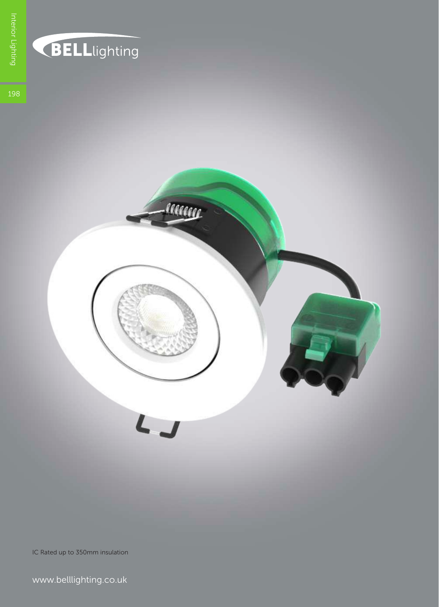

## **BELL**lighting



IC Rated up to 350mm insulation

www.belllighting.co.uk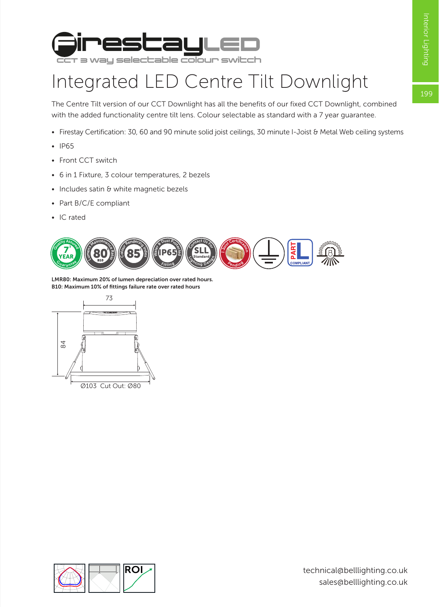199



## Integrated LED Centre Tilt Downlight

The Centre Tilt version of our CCT Downlight has all the benefits of our fixed CCT Downlight, combined with the added functionality centre tilt lens. Colour selectable as standard with a 7 year guarantee.

- Firestay Certification: 30, 60 and 90 minute solid joist ceilings, 30 minute I-Joist & Metal Web ceiling systems
- IP65
- Front CCT switch
- 6 in 1 Fixture, 3 colour temperatures, 2 bezels
- Includes satin & white magnetic bezels
- Part B/C/E compliant
- IC rated



LMR80: Maximum 20% of lumen depreciation over rated hours. B10: Maximum 10% of fittings failure rate over rated hours



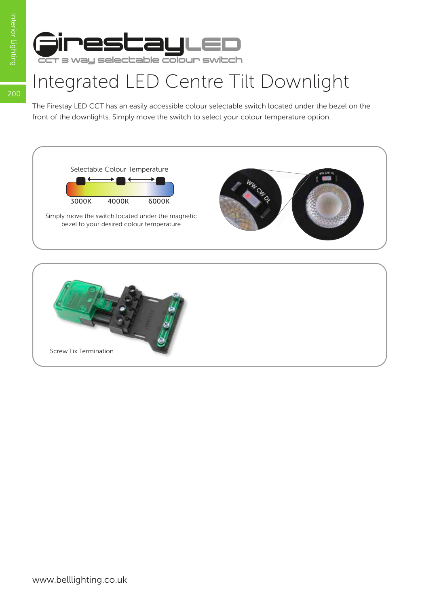200



## Integrated LED Centre Tilt Downlight

The Firestay LED CCT has an easily accessible colour selectable switch located under the bezel on the front of the downlights. Simply move the switch to select your colour temperature option.